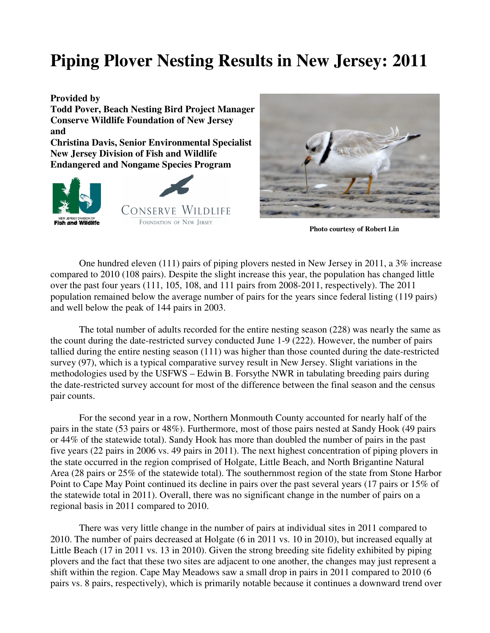## **Piping Plover Nesting Results in New Jersey: 2011**



 **Photo courtesy of Robert Lin** 

One hundred eleven (111) pairs of piping plovers nested in New Jersey in 2011, a 3% increase compared to 2010 (108 pairs). Despite the slight increase this year, the population has changed little over the past four years (111, 105, 108, and 111 pairs from 2008-2011, respectively). The 2011 population remained below the average number of pairs for the years since federal listing (119 pairs) and well below the peak of 144 pairs in 2003.

 The total number of adults recorded for the entire nesting season (228) was nearly the same as the count during the date-restricted survey conducted June 1-9 (222). However, the number of pairs tallied during the entire nesting season (111) was higher than those counted during the date-restricted survey (97), which is a typical comparative survey result in New Jersey. Slight variations in the methodologies used by the USFWS – Edwin B. Forsythe NWR in tabulating breeding pairs during the date-restricted survey account for most of the difference between the final season and the census pair counts.

 For the second year in a row, Northern Monmouth County accounted for nearly half of the pairs in the state (53 pairs or 48%). Furthermore, most of those pairs nested at Sandy Hook (49 pairs or 44% of the statewide total). Sandy Hook has more than doubled the number of pairs in the past five years (22 pairs in 2006 vs. 49 pairs in 2011). The next highest concentration of piping plovers in the state occurred in the region comprised of Holgate, Little Beach, and North Brigantine Natural Area (28 pairs or 25% of the statewide total). The southernmost region of the state from Stone Harbor Point to Cape May Point continued its decline in pairs over the past several years (17 pairs or 15% of the statewide total in 2011). Overall, there was no significant change in the number of pairs on a regional basis in 2011 compared to 2010.

 There was very little change in the number of pairs at individual sites in 2011 compared to 2010. The number of pairs decreased at Holgate (6 in 2011 vs. 10 in 2010), but increased equally at Little Beach (17 in 2011 vs. 13 in 2010). Given the strong breeding site fidelity exhibited by piping plovers and the fact that these two sites are adjacent to one another, the changes may just represent a shift within the region. Cape May Meadows saw a small drop in pairs in 2011 compared to 2010 (6 pairs vs. 8 pairs, respectively), which is primarily notable because it continues a downward trend over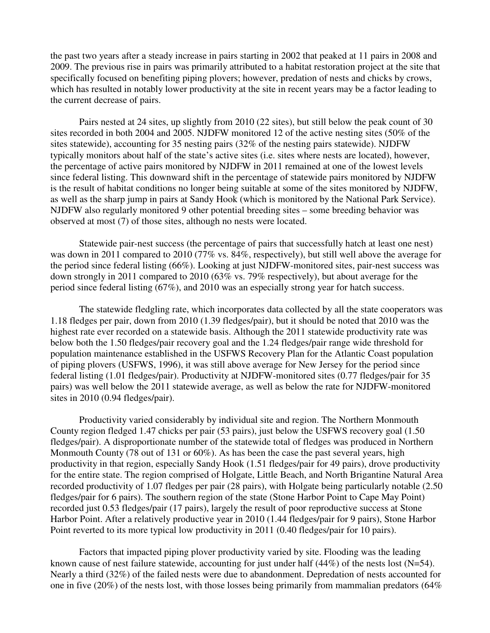the past two years after a steady increase in pairs starting in 2002 that peaked at 11 pairs in 2008 and 2009. The previous rise in pairs was primarily attributed to a habitat restoration project at the site that specifically focused on benefiting piping plovers; however, predation of nests and chicks by crows, which has resulted in notably lower productivity at the site in recent years may be a factor leading to the current decrease of pairs.

 Pairs nested at 24 sites, up slightly from 2010 (22 sites), but still below the peak count of 30 sites recorded in both 2004 and 2005. NJDFW monitored 12 of the active nesting sites (50% of the sites statewide), accounting for 35 nesting pairs (32% of the nesting pairs statewide). NJDFW typically monitors about half of the state's active sites (i.e. sites where nests are located), however, the percentage of active pairs monitored by NJDFW in 2011 remained at one of the lowest levels since federal listing. This downward shift in the percentage of statewide pairs monitored by NJDFW is the result of habitat conditions no longer being suitable at some of the sites monitored by NJDFW, as well as the sharp jump in pairs at Sandy Hook (which is monitored by the National Park Service). NJDFW also regularly monitored 9 other potential breeding sites – some breeding behavior was observed at most (7) of those sites, although no nests were located.

 Statewide pair-nest success (the percentage of pairs that successfully hatch at least one nest) was down in 2011 compared to 2010 (77% vs. 84%, respectively), but still well above the average for the period since federal listing (66%). Looking at just NJDFW-monitored sites, pair-nest success was down strongly in 2011 compared to 2010 (63% vs. 79% respectively), but about average for the period since federal listing (67%), and 2010 was an especially strong year for hatch success.

The statewide fledgling rate, which incorporates data collected by all the state cooperators was 1.18 fledges per pair, down from 2010 (1.39 fledges/pair), but it should be noted that 2010 was the highest rate ever recorded on a statewide basis. Although the 2011 statewide productivity rate was below both the 1.50 fledges/pair recovery goal and the 1.24 fledges/pair range wide threshold for population maintenance established in the USFWS Recovery Plan for the Atlantic Coast population of piping plovers (USFWS, 1996), it was still above average for New Jersey for the period since federal listing (1.01 fledges/pair). Productivity at NJDFW-monitored sites (0.77 fledges/pair for 35 pairs) was well below the 2011 statewide average, as well as below the rate for NJDFW-monitored sites in 2010 (0.94 fledges/pair).

 Productivity varied considerably by individual site and region. The Northern Monmouth County region fledged 1.47 chicks per pair (53 pairs), just below the USFWS recovery goal (1.50 fledges/pair). A disproportionate number of the statewide total of fledges was produced in Northern Monmouth County (78 out of 131 or 60%). As has been the case the past several years, high productivity in that region, especially Sandy Hook (1.51 fledges/pair for 49 pairs), drove productivity for the entire state. The region comprised of Holgate, Little Beach, and North Brigantine Natural Area recorded productivity of 1.07 fledges per pair (28 pairs), with Holgate being particularly notable (2.50 fledges/pair for 6 pairs). The southern region of the state (Stone Harbor Point to Cape May Point) recorded just 0.53 fledges/pair (17 pairs), largely the result of poor reproductive success at Stone Harbor Point. After a relatively productive year in 2010 (1.44 fledges/pair for 9 pairs), Stone Harbor Point reverted to its more typical low productivity in 2011 (0.40 fledges/pair for 10 pairs).

Factors that impacted piping plover productivity varied by site. Flooding was the leading known cause of nest failure statewide, accounting for just under half (44%) of the nests lost (N=54). Nearly a third (32%) of the failed nests were due to abandonment. Depredation of nests accounted for one in five (20%) of the nests lost, with those losses being primarily from mammalian predators (64%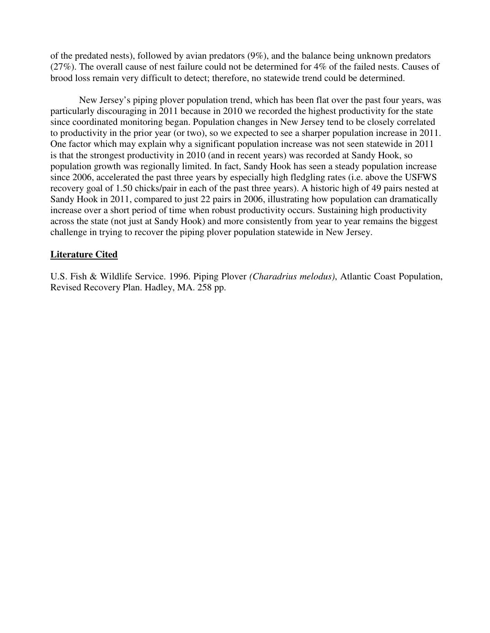of the predated nests), followed by avian predators (9%), and the balance being unknown predators (27%). The overall cause of nest failure could not be determined for 4% of the failed nests. Causes of brood loss remain very difficult to detect; therefore, no statewide trend could be determined.

New Jersey's piping plover population trend, which has been flat over the past four years, was particularly discouraging in 2011 because in 2010 we recorded the highest productivity for the state since coordinated monitoring began. Population changes in New Jersey tend to be closely correlated to productivity in the prior year (or two), so we expected to see a sharper population increase in 2011. One factor which may explain why a significant population increase was not seen statewide in 2011 is that the strongest productivity in 2010 (and in recent years) was recorded at Sandy Hook, so population growth was regionally limited. In fact, Sandy Hook has seen a steady population increase since 2006, accelerated the past three years by especially high fledgling rates (i.e. above the USFWS recovery goal of 1.50 chicks/pair in each of the past three years). A historic high of 49 pairs nested at Sandy Hook in 2011, compared to just 22 pairs in 2006, illustrating how population can dramatically increase over a short period of time when robust productivity occurs. Sustaining high productivity across the state (not just at Sandy Hook) and more consistently from year to year remains the biggest challenge in trying to recover the piping plover population statewide in New Jersey.

## **Literature Cited**

U.S. Fish & Wildlife Service. 1996. Piping Plover *(Charadrius melodus)*, Atlantic Coast Population, Revised Recovery Plan. Hadley, MA. 258 pp.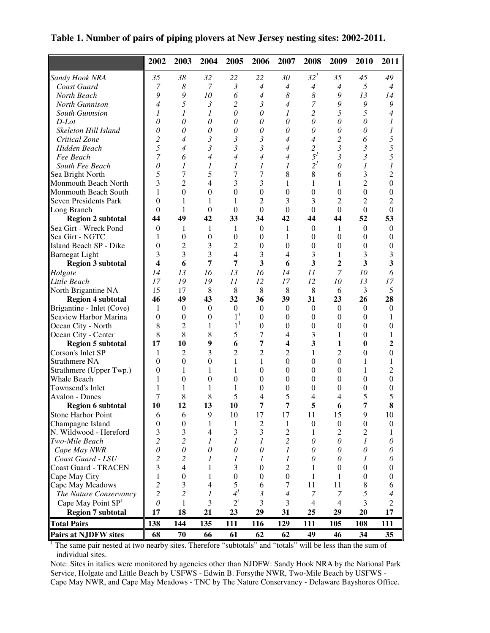**Table 1. Number of pairs of piping plovers at New Jersey nesting sites: 2002-2011.**

|                                | 2002             | 2003             | 2004             | 2005             | 2006             | 2007             | 2008                  | 2009             | 2010             | 2011             |
|--------------------------------|------------------|------------------|------------------|------------------|------------------|------------------|-----------------------|------------------|------------------|------------------|
| Sandy Hook NRA                 | 35               | 38               | 32               | 22               | 22               | 30               | 32 <sup>1</sup>       | 35               | 45               | 49               |
| Coast Guard                    | 7                | $\boldsymbol{8}$ | 7                | $\mathfrak{Z}$   | $\overline{4}$   | $\overline{4}$   | $\overline{A}$        | $\overline{4}$   | 5                | $\overline{4}$   |
| North Beach                    | 9                | 9                | 10               | 6                | $\overline{4}$   | 8                | 8                     | 9                | 13               | 14               |
| North Gunnison                 | $\overline{4}$   | 5                | $\mathfrak{Z}$   | $\overline{c}$   | $\mathfrak{Z}$   | $\overline{4}$   | 7                     | 9                | 9                | 9                |
| <b>South Gunnsion</b>          | 1                | 1                | $\mathcal{I}$    | 0                | 0                | 1                | 2                     | 5                | 5                | $\overline{4}$   |
| $D$ -Lot                       | $\theta$         | $\theta$         | $\theta$         | 0                | 0                | $\theta$         | $\theta$              | $\theta$         | $\theta$         | 1                |
| Skeleton Hill Island           | $\theta$         | 0                | 0                | $\theta$         | $\theta$         | $\theta$         | $\theta$              | $\theta$         | $\theta$         | 1                |
| Critical Zone                  | $\overline{c}$   | 4                | $\mathfrak{Z}$   | 3                | 3                | $\overline{4}$   | $\overline{4}$        | 2                | 6                | 5                |
| Hidden Beach                   | 5                | $\overline{4}$   | $\mathfrak{Z}$   | $\mathfrak{Z}$   | $\mathfrak{Z}$   | $\overline{4}$   | 2                     | $\mathfrak{Z}$   | $\mathfrak{Z}$   | 5                |
| Fee Beach                      | $\overline{7}$   | 6                | 4                | $\overline{4}$   | $\overline{4}$   | $\overline{4}$   | $5^{\prime}$          | $\mathfrak{Z}$   | $\mathfrak{Z}$   | 5                |
| South Fee Beach                | $\theta$         | 1                | 1                | $\mathcal{I}$    | 1                | 1                | $2^{l}$               | $\theta$         | 1                | 1                |
| Sea Bright North               | 5                | 7                | 5                | 7                | 7                | $\,$ 8 $\,$      | 8                     | 6                | 3                | $\overline{c}$   |
| Monmouth Beach North           | 3                | $\overline{2}$   | $\overline{4}$   | 3                | 3                | 1                | 1                     | 1                | $\overline{2}$   | $\boldsymbol{0}$ |
| Monmouth Beach South           | 1                | $\boldsymbol{0}$ | $\overline{0}$   | $\theta$         | $\boldsymbol{0}$ | $\boldsymbol{0}$ | $\boldsymbol{0}$      | $\boldsymbol{0}$ | $\boldsymbol{0}$ | $\boldsymbol{0}$ |
| <b>Seven Presidents Park</b>   | $\boldsymbol{0}$ | 1                | $\mathbf{1}$     | 1                | $\overline{2}$   | 3                | 3                     | 2                | $\overline{2}$   | $\overline{c}$   |
| Long Branch                    | $\theta$         | 1                | $\theta$         | $\theta$         | $\theta$         | $\Omega$         | $\theta$              | $\theta$         | $\mathbf{0}$     | $\theta$         |
| <b>Region 2 subtotal</b>       | 44               | 49               | 42               | 33               | 34               | 42               | 44                    | 44               | 52               | 53               |
| Sea Girt - Wreck Pond          | $\theta$         | 1                | 1                | 1                | $\theta$         | 1                | $\mathbf{0}$          | 1                | $\theta$         | $\theta$         |
| Sea Girt - NGTC                | 1                | $\boldsymbol{0}$ | $\boldsymbol{0}$ | $\theta$         | $\boldsymbol{0}$ | 1                | $\boldsymbol{0}$      | $\Omega$         | $\mathbf{0}$     | $\boldsymbol{0}$ |
| Island Beach SP - Dike         | $\boldsymbol{0}$ | 2                | 3                | 2                | $\boldsymbol{0}$ | $\theta$         | $\boldsymbol{0}$      | $\Omega$         | $\overline{0}$   | $\overline{0}$   |
| <b>Barnegat Light</b>          | 3                | 3                | 3                | $\overline{4}$   | 3                | 4                | 3                     | 1                | 3                | 3                |
| <b>Region 3 subtotal</b>       | 4                | 6                | 7                | 7                | 3                | 6                | 3                     | $\overline{2}$   | 3                | 3                |
| Holgate                        | 14               | 13               | 16               | 13               | 16               | 14               | 11                    | 7                | 10               | 6                |
| Little Beach                   | 17               | 19               | 19               | 11               | 12               | 17               | 12                    | 10               | 13               | 17               |
| North Brigantine NA            | 15               | 17               | 8                | 8                | 8                | 8                | 8                     | 6                | 3                | 5                |
| <b>Region 4 subtotal</b>       | 46               | 49               | 43               | 32               | 36               | 39               | 31                    | 23               | 26               | 28               |
| Brigantine - Inlet (Cove)      | 1                | $\mathbf{0}$     | $\overline{0}$   | $\boldsymbol{0}$ | $\theta$         | $\theta$         | $\mathbf{0}$          | $\Omega$         | $\theta$         | $\theta$         |
| Seaview Harbor Marina          | $\boldsymbol{0}$ | $\mathbf{0}$     | $\theta$         | $1^{\prime}$     | $\boldsymbol{0}$ | $\overline{0}$   | $\boldsymbol{0}$      | $\Omega$         | $\theta$         | 1                |
| Ocean City - North             | 8                | $\overline{2}$   | 1                | 1 <sup>1</sup>   | $\boldsymbol{0}$ | $\boldsymbol{0}$ | $\boldsymbol{0}$      | $\boldsymbol{0}$ | $\boldsymbol{0}$ | $\boldsymbol{0}$ |
| Ocean City - Center            | 8                | 8                | 8                | 5                | 7                | 4                | 3                     | 1                | $\mathbf{0}$     | 1                |
| <b>Region 5 subtotal</b>       | 17               | 10               | 9                | 6                | 7                | 4                | 3                     | $\mathbf{1}$     | $\bf{0}$         | $\overline{2}$   |
| Corson's Inlet SP              | 1                | $\overline{c}$   | 3                | $\overline{2}$   | $\overline{2}$   | $\overline{2}$   | 1                     | $\overline{2}$   | $\mathbf{0}$     | $\overline{0}$   |
| Strathmere NA                  | $\mathbf{0}$     | $\Omega$         | $\overline{0}$   | 1                | $\mathbf{1}$     | $\boldsymbol{0}$ | $\boldsymbol{0}$      | $\theta$         | $\mathbf{1}$     | $\mathbf{1}$     |
| Strathmere (Upper Twp.)        | $\mathbf{0}$     | 1                | 1                | $\mathbf{1}$     | $\theta$         | $\theta$         | $\boldsymbol{0}$      | $\Omega$         | 1                | $\overline{c}$   |
| Whale Beach                    | 1                | $\mathbf{0}$     | $\overline{0}$   | $\theta$         | $\boldsymbol{0}$ | $\theta$         | $\boldsymbol{0}$      | $\overline{0}$   | $\mathbf{0}$     | $\boldsymbol{0}$ |
| Townsend's Inlet               | 1                | 1                | $\mathbf{1}$     | 1                | $\boldsymbol{0}$ | $\boldsymbol{0}$ | $\boldsymbol{0}$      | $\theta$         | $\boldsymbol{0}$ | $\boldsymbol{0}$ |
| <b>Avalon - Dunes</b>          | 7                | 8                | 8                | 5                | 4                | 5                | 4                     | $\overline{4}$   | 5                | 5                |
| <b>Region 6 subtotal</b>       | 10               | 12               | 13               | 10               | 7                | 7                | 5                     | 6                | 7                | 8                |
| <b>Stone Harbor Point</b>      | 6                | 6                | 9                | 10               | 17               | 17               | 11                    | 15               | 9                | 10               |
| Champagne Island               | $\boldsymbol{0}$ | $\boldsymbol{0}$ | 1                | 1                | 2                | 1                | $\boldsymbol{0}$      | $\boldsymbol{0}$ | $\boldsymbol{0}$ | $\boldsymbol{0}$ |
| N. Wildwood - Hereford         | 3                | 3                | $\overline{4}$   | 3                | 3                | $\overline{c}$   | 1                     | 2                | $\overline{2}$   | 1                |
| Two-Mile Beach                 | $\overline{c}$   | $\overline{c}$   | 1                | 1                | 1                | $\overline{c}$   | $\boldsymbol{\theta}$ | $\theta$         | 1                | 0                |
| Cape May NWR                   | $\theta$         | $\mathcal O$     | $\mathcal O$     | $\theta$         | 0                | 1                | 0                     | 0                | 0                | 0                |
| Coast Guard - LSU              | 2                | 2                | 1                | 1                | 1                | 1                | $\theta$              | $\theta$         | 1                | 0                |
| <b>Coast Guard - TRACEN</b>    | 3                | 4                | 1                | 3                | $\boldsymbol{0}$ | $\overline{c}$   | 1                     | $\overline{0}$   | $\boldsymbol{0}$ | $\boldsymbol{0}$ |
| Cape May City                  | 1                | $\boldsymbol{0}$ | 1                | $\boldsymbol{0}$ | 0                | $\boldsymbol{0}$ | 1                     | 1                | 0                | 0                |
| Cape May Meadows               | $\overline{c}$   | 3                | $\overline{4}$   | 5                | 6                | 7                | 11                    | 11               | 8                | 6                |
| The Nature Conservancy         | $\overline{c}$   | $\overline{c}$   | 1                | 4 <sup>1</sup>   | $\mathfrak{Z}$   | $\overline{4}$   | $\boldsymbol{7}$      | $\overline{7}$   | 5                | 4                |
| Cape May Point SP <sup>1</sup> | $\theta$         | 1                | 3                | 2 <sup>1</sup>   | 3                | 3                | $\overline{4}$        | $\overline{4}$   | 3                | $\overline{2}$   |
| <b>Region 7 subtotal</b>       | 17               | 18               | 21               | 23               | 29               | 31               | 25                    | 29               | 20               | 17               |
| <b>Total Pairs</b>             | 138              | 144              | 135              | 111              | 116              | 129              | 111                   | 105              | 108              | 111              |
| <b>Pairs at NJDFW sites</b>    | 68               | 70               | 66               | 61               | 62               | 62               | 49                    | 46               | 34               | 35               |

<sup>1</sup> The same pair nested at two nearby sites. Therefore "subtotals" and "totals" will be less than the sum of individual sites.

Note: Sites in italics were monitored by agencies other than NJDFW: Sandy Hook NRA by the National Park Service, Holgate and Little Beach by USFWS - Edwin B. Forsythe NWR, Two-Mile Beach by USFWS - Cape May NWR, and Cape May Meadows - TNC by The Nature Conservancy - Delaware Bayshores Office.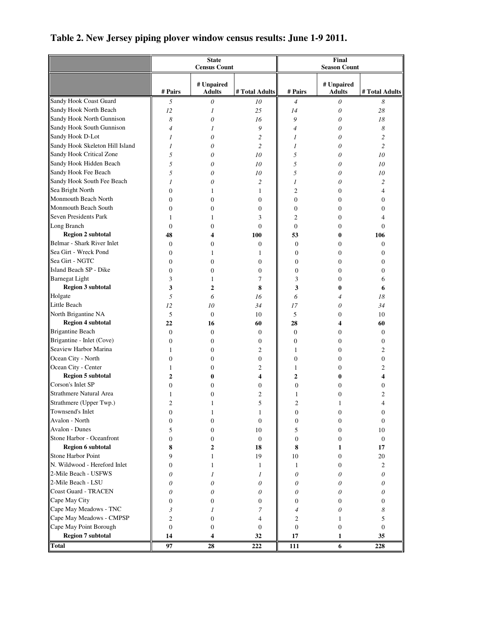|                                 |                  | <b>State</b>                |                        | Final                    |                             |                  |  |
|---------------------------------|------------------|-----------------------------|------------------------|--------------------------|-----------------------------|------------------|--|
|                                 |                  | <b>Census Count</b>         |                        | <b>Season Count</b>      |                             |                  |  |
|                                 | # Pairs          | # Unpaired<br><b>Adults</b> | # Total Adults         | # Pairs                  | # Unpaired<br><b>Adults</b> | # Total Adults   |  |
| Sandy Hook Coast Guard          | 5                | 0                           | 10                     | $\overline{\mathcal{A}}$ | 0                           | 8                |  |
| Sandy Hook North Beach          | 12               | 1                           | 25                     | 14                       | 0                           | 28               |  |
| Sandy Hook North Gunnison       | 8                | 0                           | 16                     | 9                        | 0                           | 18               |  |
| Sandy Hook South Gunnison       | $\overline{4}$   | 1                           | 9                      | $\overline{4}$           | 0                           | 8                |  |
| Sandy Hook D-Lot                | 1                | 0                           | 2                      | 1                        | 0                           | 2                |  |
| Sandy Hook Skeleton Hill Island | 1                | 0                           | $\overline{c}$         | 1                        | 0                           | 2                |  |
| Sandy Hook Critical Zone        | 5                | 0                           | 10                     | 5                        | 0                           | 10               |  |
| Sandy Hook Hidden Beach         | 5                | 0                           | 10                     | 5                        | 0                           | 10               |  |
| Sandy Hook Fee Beach            | 5                | 0                           | 10                     | 5                        | 0                           | 10               |  |
| Sandy Hook South Fee Beach      | 1                | 0                           | 2                      | 1                        | 0                           | 2                |  |
| Sea Bright North                | 0                | 1                           | 1                      | 2                        | $\overline{0}$              | 4                |  |
| Monmouth Beach North            | 0                | $\overline{0}$              | $\overline{0}$         | $\boldsymbol{0}$         | $\overline{0}$              | 0                |  |
| Monmouth Beach South            | 0                | 0                           | $\overline{0}$         | $\boldsymbol{0}$         | $\overline{0}$              | 0                |  |
| Seven Presidents Park           | $\mathbf{1}$     | 1                           | 3                      | 2                        | 0                           | 4                |  |
| Long Branch                     | $\overline{0}$   | 0                           | $\Omega$               | $\mathbf{0}$             | 0                           | $\overline{0}$   |  |
| <b>Region 2 subtotal</b>        | 48               | 4                           | 100                    | 53                       | 0                           | 106              |  |
| Belmar - Shark River Inlet      | 0                | 0                           | 0                      | 0                        | $\overline{0}$              | 0                |  |
| Sea Girt - Wreck Pond           | 0                | 1                           | 1                      | 0                        | 0                           | 0                |  |
| Sea Girt - NGTC                 | 0                | $\Omega$                    | $\overline{0}$         | 0                        | 0                           | 0                |  |
| Island Beach SP - Dike          | $\overline{0}$   | $\theta$                    | $\overline{0}$         | $\boldsymbol{0}$         | 0                           | 0                |  |
| <b>Barnegat Light</b>           | 3                | 1                           | 7                      | 3                        | 0                           | 6                |  |
| <b>Region 3 subtotal</b>        | 3                | 2                           | 8                      | 3                        | 0                           | 6                |  |
| Holgate                         | 5                | 6                           | 16                     | 6                        | $\overline{4}$              | 18               |  |
| Little Beach                    | 12               | 10                          | 34                     | 17                       | 0                           | 34               |  |
| North Brigantine NA             | 5                | $\mathbf{0}$                | 10                     | 5                        | $\overline{0}$              | 10               |  |
| <b>Region 4 subtotal</b>        | 22               | 16                          | 60                     | 28                       | 4                           | 60               |  |
| <b>Brigantine Beach</b>         | 0                | $\mathbf{0}$                | $\boldsymbol{0}$       | 0                        | 0                           | 0                |  |
| Brigantine - Inlet (Cove)       | $\boldsymbol{0}$ | $\mathbf{0}$                | 0                      | 0                        | 0                           | 0                |  |
| Seaview Harbor Marina           | 1                | 0                           | 2                      | 1                        | 0                           | 2                |  |
| Ocean City - North              | 0                | 0                           | 0                      | 0                        | 0                           | 0                |  |
| Ocean City - Center             | 1                | $\theta$                    | $\overline{c}$         | 1                        | 0                           | $\overline{c}$   |  |
| <b>Region 5 subtotal</b>        | $\overline{2}$   | 0                           | 4                      | $\overline{2}$           | 0                           | 4                |  |
| Corson's Inlet SP               | 0                | $\theta$                    | $\theta$               | $\overline{0}$           | 0                           | 0                |  |
| Strathmere Natural Area         | 1                | 0                           | 2                      | 1                        | 0                           | 2                |  |
| Strathmere (Upper Twp.)         | $\overline{c}$   | 1                           | 5                      | 2                        | 1                           | 4                |  |
| Townsend's Inlet                | 0                |                             |                        | 0                        | 0                           | 0                |  |
| Avalon - North                  | 0                | $\boldsymbol{0}$            | $\boldsymbol{0}$       | 0                        | 0                           | 0                |  |
| Avalon - Dunes                  | 5                | $\mathbf{0}$                | 10                     | 5                        | $\boldsymbol{0}$            | 10               |  |
| Stone Harbor - Oceanfront       | 0                | $\mathbf{0}$                | $\mathbf{0}$           | $\boldsymbol{0}$         | 0                           | $\boldsymbol{0}$ |  |
| <b>Region 6 subtotal</b>        | 8                | 2                           | 18                     | 8                        | 1                           | 17               |  |
| Stone Harbor Point              | 9                | 1                           | 19                     | 10                       | $\boldsymbol{0}$            | 20               |  |
| N. Wildwood - Hereford Inlet    | $\boldsymbol{0}$ |                             |                        |                          |                             | 2                |  |
| 2-Mile Beach - USFWS            |                  | 1                           | 1                      | $\mathbf{1}$             | 0                           |                  |  |
| 2-Mile Beach - LSU              | 0                | $\mathcal{I}$               | 1                      | 0                        | 0                           | 0                |  |
| Coast Guard - TRACEN            | 0                | 0                           | 0                      | 0                        | 0                           | 0                |  |
| Cape May City                   | 0                | 0                           | 0                      | 0                        | 0                           | 0                |  |
| Cape May Meadows - TNC          | 0                | $\mathbf{0}$                | $\overline{0}$         | 0                        | 0                           | 0                |  |
| Cape May Meadows - CMPSP        | 3                |                             | 7                      | 4                        | 0                           | 8                |  |
| Cape May Point Borough          | $\overline{c}$   | $\boldsymbol{0}$            | $\overline{4}$         | 2                        | 1                           | 5                |  |
| <b>Region 7 subtotal</b>        | $\boldsymbol{0}$ | $\boldsymbol{0}$<br>4       | $\boldsymbol{0}$<br>32 | 0                        | $\boldsymbol{0}$<br>1       | 0                |  |
| Total                           | 14<br>97         | 28                          | 222                    | 17<br>111                | 6                           | 35<br>228        |  |

## **Table 2. New Jersey piping plover window census results: June 1-9 2011.**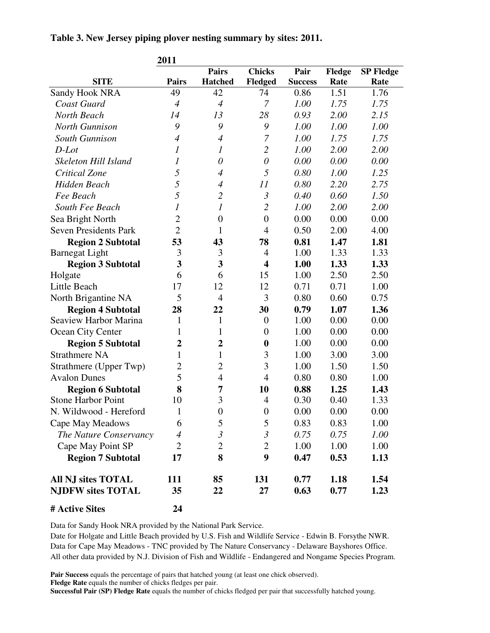|  | Table 3. New Jersey piping plover nesting summary by sites: 2011. |  |
|--|-------------------------------------------------------------------|--|
|  |                                                                   |  |

|                              | 2011                     |                  |                         |                |        |                  |
|------------------------------|--------------------------|------------------|-------------------------|----------------|--------|------------------|
|                              |                          | <b>Pairs</b>     | <b>Chicks</b>           | Pair           | Fledge | <b>SP Fledge</b> |
| <b>SITE</b>                  | <b>Pairs</b>             | <b>Hatched</b>   | Fledged                 | <b>Success</b> | Rate   | Rate             |
| Sandy Hook NRA               | 49                       | 42               | 74                      | 0.86           | 1.51   | 1.76             |
| Coast Guard                  | $\overline{4}$           | $\overline{4}$   | 7                       | 1.00           | 1.75   | 1.75             |
| North Beach                  | 14                       | 13               | 28                      | 0.93           | 2.00   | 2.15             |
| North Gunnison               | 9                        | 9                | 9                       | 1.00           | 1.00   | 1.00             |
| South Gunnison               | $\overline{4}$           | $\overline{4}$   | 7                       | 1.00           | 1.75   | 1.75             |
| D-Lot                        | 1                        | 1                | $\overline{2}$          | 1.00           | 2.00   | 2.00             |
| Skeleton Hill Island         | $\boldsymbol{l}$         | $\theta$         | $\theta$                | 0.00           | 0.00   | 0.00             |
| Critical Zone                | 5                        | $\overline{4}$   | 5                       | 0.80           | 1.00   | 1.25             |
| Hidden Beach                 | 5                        | $\overline{4}$   | 11                      | 0.80           | 2.20   | 2.75             |
| Fee Beach                    | 5                        | $\mathfrak{2}$   | $\mathfrak{Z}$          | 0.40           | 0.60   | 1.50             |
| South Fee Beach              | 1                        | $\boldsymbol{l}$ | $\overline{2}$          | 1.00           | 2.00   | 2.00             |
| Sea Bright North             | $\overline{2}$           | $\boldsymbol{0}$ | $\boldsymbol{0}$        | 0.00           | 0.00   | 0.00             |
| <b>Seven Presidents Park</b> | $\overline{2}$           | $\mathbf{1}$     | $\overline{4}$          | 0.50           | 2.00   | 4.00             |
| <b>Region 2 Subtotal</b>     | 53                       | 43               | 78                      | 0.81           | 1.47   | 1.81             |
| <b>Barnegat Light</b>        | 3                        | 3                | $\overline{4}$          | 1.00           | 1.33   | 1.33             |
| <b>Region 3 Subtotal</b>     | $\overline{\mathbf{3}}$  | 3                | $\overline{\mathbf{4}}$ | 1.00           | 1.33   | 1.33             |
| Holgate                      | 6                        | 6                | 15                      | 1.00           | 2.50   | 2.50             |
| Little Beach                 | 17                       | 12               | 12                      | 0.71           | 0.71   | 1.00             |
| North Brigantine NA          | 5                        | $\overline{4}$   | 3                       | 0.80           | 0.60   | 0.75             |
| <b>Region 4 Subtotal</b>     | 28                       | 22               | 30                      | 0.79           | 1.07   | 1.36             |
| Seaview Harbor Marina        | 1                        | 1                | $\boldsymbol{0}$        | 1.00           | 0.00   | 0.00             |
| Ocean City Center            | 1                        | 1                | $\boldsymbol{0}$        | 1.00           | 0.00   | 0.00             |
| <b>Region 5 Subtotal</b>     | $\overline{2}$           | $\boldsymbol{2}$ | $\boldsymbol{0}$        | 1.00           | 0.00   | 0.00             |
| <b>Strathmere NA</b>         | $\mathbf{1}$             | $\mathbf{1}$     | 3                       | 1.00           | 3.00   | 3.00             |
| Strathmere (Upper Twp)       | $\overline{2}$           | $\overline{2}$   | 3                       | 1.00           | 1.50   | 1.50             |
| <b>Avalon Dunes</b>          | 5                        | $\overline{4}$   | $\overline{4}$          | 0.80           | 0.80   | 1.00             |
| <b>Region 6 Subtotal</b>     | 8                        | 7                | 10                      | 0.88           | 1.25   | 1.43             |
| <b>Stone Harbor Point</b>    | 10                       | 3                | $\overline{4}$          | 0.30           | 0.40   | 1.33             |
| N. Wildwood - Hereford       | 1                        | $\overline{0}$   | $\overline{0}$          | 0.00           | 0.00   | 0.00             |
| Cape May Meadows             | 6                        | 5                | 5                       | 0.83           | 0.83   | 1.00             |
| The Nature Conservancy       | $\overline{\mathcal{A}}$ | $\mathfrak{Z}$   | $\mathfrak{Z}$          | 0.75           | 0.75   | 1.00             |
| Cape May Point SP            | $\overline{2}$           | $\overline{2}$   | $\overline{2}$          | 1.00           | 1.00   | 1.00             |
| <b>Region 7 Subtotal</b>     | 17                       | 8                | 9                       | 0.47           | 0.53   | 1.13             |
| All NJ sites TOTAL           | 111                      | 85               | 131                     | 0.77           | 1.18   | 1.54             |
| <b>NJDFW sites TOTAL</b>     | 35                       | 22               | 27                      | 0.63           | 0.77   | 1.23             |
| # Active Sites               | 24                       |                  |                         |                |        |                  |

Data for Sandy Hook NRA provided by the National Park Service.

Date for Holgate and Little Beach provided by U.S. Fish and Wildlife Service - Edwin B. Forsythe NWR. Data for Cape May Meadows - TNC provided by The Nature Conservancy - Delaware Bayshores Office. All other data provided by N.J. Division of Fish and Wildlife - Endangered and Nongame Species Program.

**Pair Success** equals the percentage of pairs that hatched young (at least one chick observed).

**Fledge Rate** equals the number of chicks fledges per pair.

**Successful Pair (SP) Fledge Rate** equals the number of chicks fledged per pair that successfully hatched young.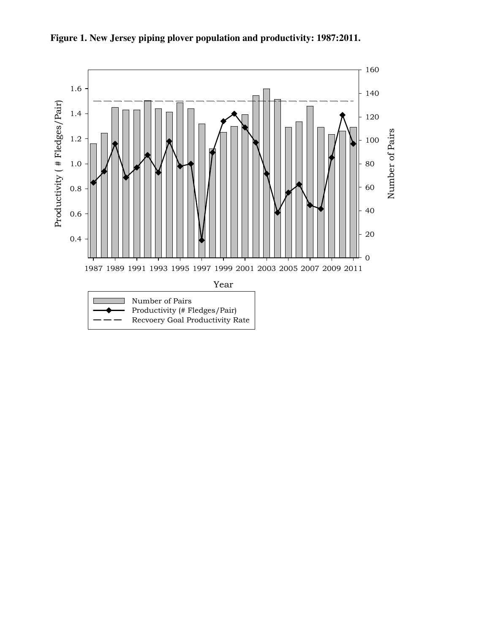

**Figure 1. New Jersey piping plover population and productivity: 1987:2011.**